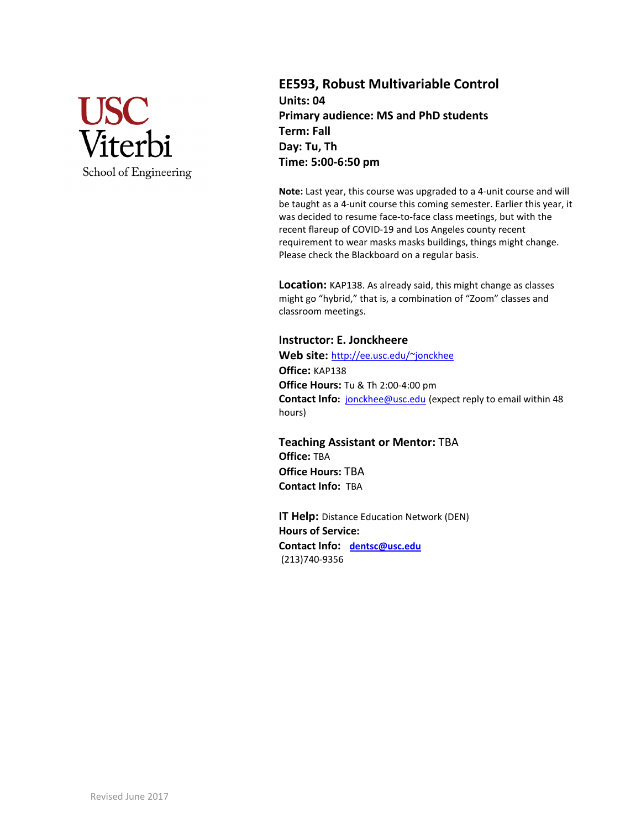

**EE593, Robust Multivariable Control Units: 04 Primary audience: MS and PhD students Term: Fall Day: Tu, Th Time: 5:00-6:50 pm**

**Note:** Last year, this course was upgraded to a 4-unit course and will be taught as a 4-unit course this coming semester. Earlier this year, it was decided to resume face-to-face class meetings, but with the recent flareup of COVID-19 and Los Angeles county recent requirement to wear masks masks buildings, things might change. Please check the Blackboard on a regular basis.

**Location:** KAP138. As already said, this might change as classes might go "hybrid," that is, a combination of "Zoom" classes and classroom meetings.

### **Instructor: E. Jonckheere**

**Web site:** <http://ee.usc.edu/~jonckhee> **Office:** KAP138 **Office Hours:** Tu & Th 2:00-4:00 pm **Contact Info:** [jonckhee@usc.edu](mailto:jonckhee@usc.edu) (expect reply to email within 48 hours)

**Teaching Assistant or Mentor:** TBA **Office:** TBA **Office Hours:** TBA **Contact Info:** TBA

**IT Help:** Distance Education Network (DEN) **Hours of Service: Contact Info: [dentsc@usc.edu](mailto:dentsc@usc.edu)** (213)740-9356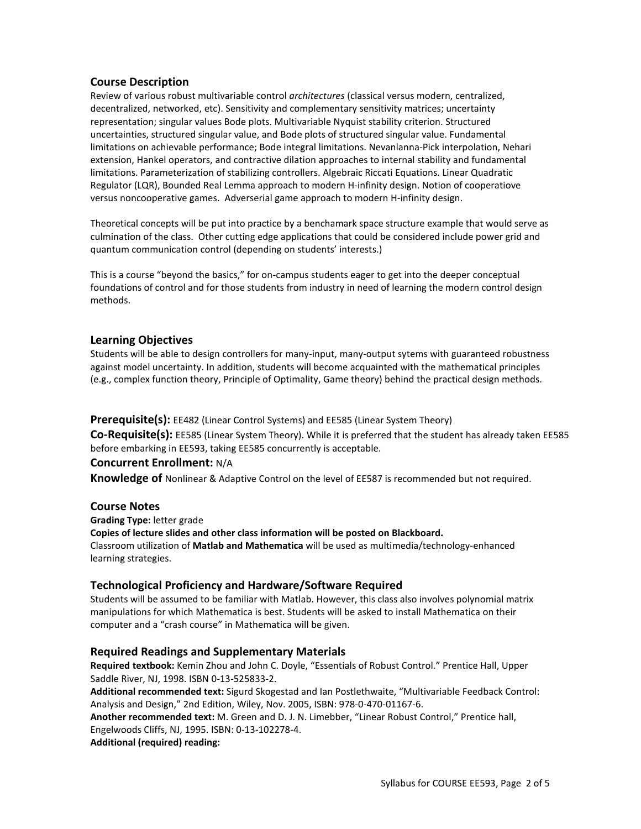### **Course Description**

Review of various robust multivariable control *architectures* (classical versus modern, centralized, decentralized, networked, etc). Sensitivity and complementary sensitivity matrices; uncertainty representation; singular values Bode plots. Multivariable Nyquist stability criterion. Structured uncertainties, structured singular value, and Bode plots of structured singular value. Fundamental limitations on achievable performance; Bode integral limitations. Nevanlanna-Pick interpolation, Nehari extension, Hankel operators, and contractive dilation approaches to internal stability and fundamental limitations. Parameterization of stabilizing controllers. Algebraic Riccati Equations. Linear Quadratic Regulator (LQR), Bounded Real Lemma approach to modern H-infinity design. Notion of cooperatiove versus noncooperative games. Adverserial game approach to modern H-infinity design.

Theoretical concepts will be put into practice by a benchamark space structure example that would serve as culmination of the class. Other cutting edge applications that could be considered include power grid and quantum communication control (depending on students' interests.)

This is a course "beyond the basics," for on-campus students eager to get into the deeper conceptual foundations of control and for those students from industry in need of learning the modern control design methods.

### **Learning Objectives**

Students will be able to design controllers for many-input, many-output sytems with guaranteed robustness against model uncertainty. In addition, students will become acquainted with the mathematical principles (e.g., complex function theory, Principle of Optimality, Game theory) behind the practical design methods.

**Prerequisite(s):** EE482 (Linear Control Systems) and EE585 (Linear System Theory)

**Co-Requisite(s):** EE585 (Linear System Theory). While it is preferred that the student has already taken EE585 before embarking in EE593, taking EE585 concurrently is acceptable.

#### **Concurrent Enrollment:** N/A

**Knowledge of** Nonlinear & Adaptive Control on the level of EE587 is recommended but not required.

#### **Course Notes**

**Grading Type:** letter grade **Copies of lecture slides and other class information will be posted on Blackboard.**  Classroom utilization of **Matlab and Mathematica** will be used as multimedia/technology-enhanced learning strategies.

# **Technological Proficiency and Hardware/Software Required**

Students will be assumed to be familiar with Matlab. However, this class also involves polynomial matrix manipulations for which Mathematica is best. Students will be asked to install Mathematica on their computer and a "crash course" in Mathematica will be given.

#### **Required Readings and Supplementary Materials**

**Required textbook:** Kemin Zhou and John C. Doyle, "Essentials of Robust Control." Prentice Hall, Upper Saddle River, NJ, 1998. ISBN 0-13-525833-2.

**Additional recommended text:** Sigurd Skogestad and Ian Postlethwaite, "Multivariable Feedback Control: Analysis and Design," 2nd Edition, Wiley, Nov. 2005, ISBN: 978-0-470-01167-6.

**Another recommended text:** M. Green and D. J. N. Limebber, "Linear Robust Control," Prentice hall, Engelwoods Cliffs, NJ, 1995. ISBN: 0-13-102278-4.

**Additional (required) reading:**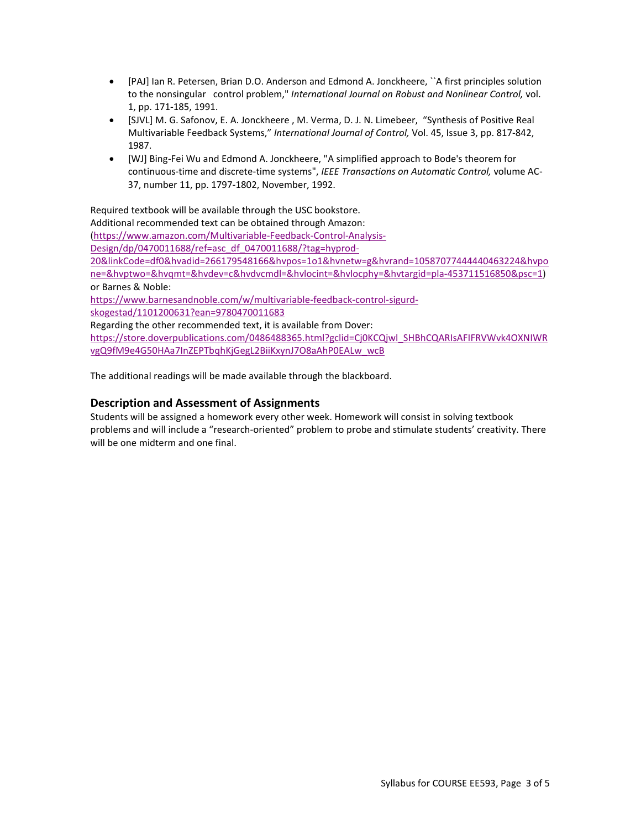- [PAJ] Ian R. Petersen, Brian D.O. Anderson and Edmond A. Jonckheere, ``A first principles solution to the nonsingular control problem," *International Journal on Robust and Nonlinear Control,* vol. 1, pp. 171-185, 1991.
- [SJVL] M. G. Safonov, E. A. Jonckheere , M. Verma, D. J. N. Limebeer, "Synthesis of Positive Real Multivariable Feedback Systems," *International Journal of Control,* Vol. 45, Issue 3, pp. 817-842, 1987.
- [WJ] Bing-Fei Wu and Edmond A. Jonckheere, "A simplified approach to Bode's theorem for continuous-time and discrete-time systems", *IEEE Transactions on Automatic Control,* volume AC-37, number 11, pp. 1797-1802, November, 1992.

Required textbook will be available through the USC bookstore.

Additional recommended text can be obtained through Amazon:

[\(https://www.amazon.com/Multivariable-Feedback-Control-Analysis-](https://www.amazon.com/Multivariable-Feedback-Control-Analysis-Design/dp/0470011688/ref=asc_df_0470011688/?tag=hyprod-20&linkCode=df0&hvadid=266179548166&hvpos=1o1&hvnetw=g&hvrand=10587077444440463224&hvpone=&hvptwo=&hvqmt=&hvdev=c&hvdvcmdl=&hvlocint=&hvlocphy=&hvtargid=pla-453711516850&psc=1)

[Design/dp/0470011688/ref=asc\\_df\\_0470011688/?tag=hyprod-](https://www.amazon.com/Multivariable-Feedback-Control-Analysis-Design/dp/0470011688/ref=asc_df_0470011688/?tag=hyprod-20&linkCode=df0&hvadid=266179548166&hvpos=1o1&hvnetw=g&hvrand=10587077444440463224&hvpone=&hvptwo=&hvqmt=&hvdev=c&hvdvcmdl=&hvlocint=&hvlocphy=&hvtargid=pla-453711516850&psc=1)

[20&linkCode=df0&hvadid=266179548166&hvpos=1o1&hvnetw=g&hvrand=10587077444440463224&hvpo](https://www.amazon.com/Multivariable-Feedback-Control-Analysis-Design/dp/0470011688/ref=asc_df_0470011688/?tag=hyprod-20&linkCode=df0&hvadid=266179548166&hvpos=1o1&hvnetw=g&hvrand=10587077444440463224&hvpone=&hvptwo=&hvqmt=&hvdev=c&hvdvcmdl=&hvlocint=&hvlocphy=&hvtargid=pla-453711516850&psc=1) [ne=&hvptwo=&hvqmt=&hvdev=c&hvdvcmdl=&hvlocint=&hvlocphy=&hvtargid=pla-453711516850&psc=1\)](https://www.amazon.com/Multivariable-Feedback-Control-Analysis-Design/dp/0470011688/ref=asc_df_0470011688/?tag=hyprod-20&linkCode=df0&hvadid=266179548166&hvpos=1o1&hvnetw=g&hvrand=10587077444440463224&hvpone=&hvptwo=&hvqmt=&hvdev=c&hvdvcmdl=&hvlocint=&hvlocphy=&hvtargid=pla-453711516850&psc=1) or Barnes & Noble:

[https://www.barnesandnoble.com/w/multivariable-feedback-control-sigurd-](https://www.barnesandnoble.com/w/multivariable-feedback-control-sigurd-skogestad/1101200631?ean=9780470011683)

[skogestad/1101200631?ean=9780470011683](https://www.barnesandnoble.com/w/multivariable-feedback-control-sigurd-skogestad/1101200631?ean=9780470011683)

Regarding the other recommended text, it is available from Dover:

[https://store.doverpublications.com/0486488365.html?gclid=Cj0KCQjwl\\_SHBhCQARIsAFIFRVWvk4OXNIWR](https://store.doverpublications.com/0486488365.html?gclid=Cj0KCQjwl_SHBhCQARIsAFIFRVWvk4OXNIWRvgQ9fM9e4G50HAa7InZEPTbqhKjGegL2BiiKxynJ7O8aAhP0EALw_wcB) [vgQ9fM9e4G50HAa7InZEPTbqhKjGegL2BiiKxynJ7O8aAhP0EALw\\_wcB](https://store.doverpublications.com/0486488365.html?gclid=Cj0KCQjwl_SHBhCQARIsAFIFRVWvk4OXNIWRvgQ9fM9e4G50HAa7InZEPTbqhKjGegL2BiiKxynJ7O8aAhP0EALw_wcB)

The additional readings will be made available through the blackboard.

# **Description and Assessment of Assignments**

Students will be assigned a homework every other week. Homework will consist in solving textbook problems and will include a "research-oriented" problem to probe and stimulate students' creativity. There will be one midterm and one final.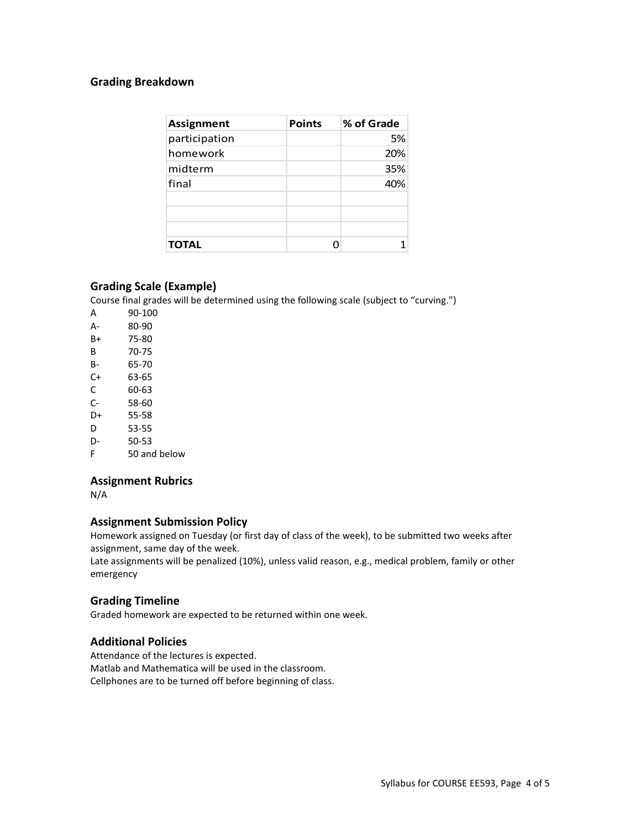# **Grading Breakdown**

| <b>Assignment</b> | <b>Points</b> | % of Grade |
|-------------------|---------------|------------|
| participation     |               | 5%         |
| homework          |               | 20%        |
| midterm           |               | 35%        |
| final             |               | 40%        |
|                   |               |            |
|                   |               |            |
|                   |               |            |
| <b>TOTAL</b>      |               |            |

# **Grading Scale (Example)**

Course final grades will be determined using the following scale (subject to "curving.")

A 90-100 A- 80-90 B+ 75-80 B 70-75 B- 65-70 C+ 63-65 C 60-63 C- 58-60 D+ 55-58 D 53-55 D- 50-53 F 50 and below

# **Assignment Rubrics**

N/A

# **Assignment Submission Policy**

Homework assigned on Tuesday (or first day of class of the week), to be submitted two weeks after assignment, same day of the week.

Late assignments will be penalized (10%), unless valid reason, e.g., medical problem, family or other emergency

# **Grading Timeline**

Graded homework are expected to be returned within one week.

# **Additional Policies**

Attendance of the lectures is expected. Matlab and Mathematica will be used in the classroom. Cellphones are to be turned off before beginning of class.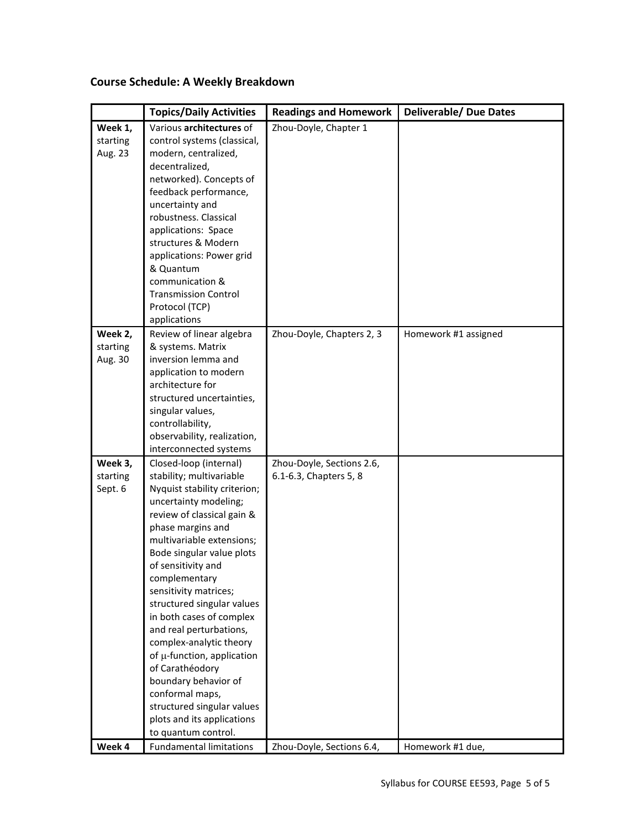# **Course Schedule: A Weekly Breakdown**

|          | <b>Topics/Daily Activities</b>                    | <b>Readings and Homework</b> | <b>Deliverable/ Due Dates</b> |
|----------|---------------------------------------------------|------------------------------|-------------------------------|
| Week 1,  | Various architectures of                          | Zhou-Doyle, Chapter 1        |                               |
| starting | control systems (classical,                       |                              |                               |
| Aug. 23  | modern, centralized,                              |                              |                               |
|          | decentralized,                                    |                              |                               |
|          | networked). Concepts of                           |                              |                               |
|          | feedback performance,                             |                              |                               |
|          | uncertainty and                                   |                              |                               |
|          | robustness. Classical                             |                              |                               |
|          | applications: Space                               |                              |                               |
|          | structures & Modern                               |                              |                               |
|          | applications: Power grid                          |                              |                               |
|          | & Quantum                                         |                              |                               |
|          | communication &                                   |                              |                               |
|          | <b>Transmission Control</b>                       |                              |                               |
|          | Protocol (TCP)                                    |                              |                               |
|          | applications                                      |                              |                               |
| Week 2,  | Review of linear algebra                          | Zhou-Doyle, Chapters 2, 3    | Homework #1 assigned          |
| starting | & systems. Matrix                                 |                              |                               |
| Aug. 30  | inversion lemma and                               |                              |                               |
|          | application to modern<br>architecture for         |                              |                               |
|          | structured uncertainties,                         |                              |                               |
|          | singular values,                                  |                              |                               |
|          | controllability,                                  |                              |                               |
|          | observability, realization,                       |                              |                               |
|          | interconnected systems                            |                              |                               |
| Week 3,  | Closed-loop (internal)                            | Zhou-Doyle, Sections 2.6,    |                               |
| starting | stability; multivariable                          | 6.1-6.3, Chapters 5, 8       |                               |
| Sept. 6  | Nyquist stability criterion;                      |                              |                               |
|          | uncertainty modeling;                             |                              |                               |
|          | review of classical gain &                        |                              |                               |
|          | phase margins and                                 |                              |                               |
|          | multivariable extensions;                         |                              |                               |
|          | Bode singular value plots                         |                              |                               |
|          | of sensitivity and                                |                              |                               |
|          | complementary                                     |                              |                               |
|          | sensitivity matrices;                             |                              |                               |
|          | structured singular values                        |                              |                               |
|          | in both cases of complex                          |                              |                               |
|          | and real perturbations,                           |                              |                               |
|          | complex-analytic theory                           |                              |                               |
|          | of µ-function, application                        |                              |                               |
|          | of Carathéodory                                   |                              |                               |
|          | boundary behavior of                              |                              |                               |
|          | conformal maps,                                   |                              |                               |
|          | structured singular values                        |                              |                               |
|          | plots and its applications<br>to quantum control. |                              |                               |
| Week 4   | <b>Fundamental limitations</b>                    |                              |                               |
|          |                                                   | Zhou-Doyle, Sections 6.4,    | Homework #1 due,              |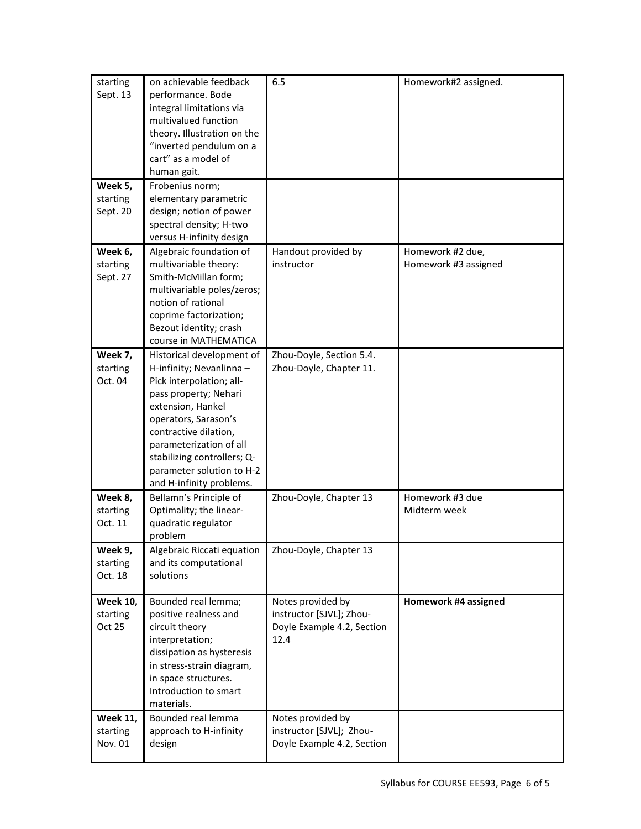| starting<br>Sept. 13                   | on achievable feedback<br>performance. Bode<br>integral limitations via<br>multivalued function<br>theory. Illustration on the<br>"inverted pendulum on a<br>cart" as a model of<br>human gait.                                                                                                     | 6.5                                                                                 | Homework#2 assigned.                     |
|----------------------------------------|-----------------------------------------------------------------------------------------------------------------------------------------------------------------------------------------------------------------------------------------------------------------------------------------------------|-------------------------------------------------------------------------------------|------------------------------------------|
| Week 5,<br>starting<br>Sept. 20        | Frobenius norm;<br>elementary parametric<br>design; notion of power<br>spectral density; H-two<br>versus H-infinity design                                                                                                                                                                          |                                                                                     |                                          |
| Week 6,<br>starting<br>Sept. 27        | Algebraic foundation of<br>multivariable theory:<br>Smith-McMillan form;<br>multivariable poles/zeros;<br>notion of rational<br>coprime factorization;<br>Bezout identity; crash<br>course in MATHEMATICA                                                                                           | Handout provided by<br>instructor                                                   | Homework #2 due,<br>Homework #3 assigned |
| Week 7,<br>starting<br>Oct. 04         | Historical development of<br>H-infinity; Nevanlinna -<br>Pick interpolation; all-<br>pass property; Nehari<br>extension, Hankel<br>operators, Sarason's<br>contractive dilation,<br>parameterization of all<br>stabilizing controllers; Q-<br>parameter solution to H-2<br>and H-infinity problems. | Zhou-Doyle, Section 5.4.<br>Zhou-Doyle, Chapter 11.                                 |                                          |
| Week 8,<br>starting<br>Oct. 11         | Bellamn's Principle of<br>Optimality; the linear-<br>quadratic regulator<br>problem                                                                                                                                                                                                                 | Zhou-Doyle, Chapter 13                                                              | Homework #3 due<br>Midterm week          |
| Week 9,<br>starting<br>Oct. 18         | Algebraic Riccati equation<br>and its computational<br>solutions                                                                                                                                                                                                                                    | Zhou-Doyle, Chapter 13                                                              |                                          |
| <b>Week 10,</b><br>starting<br>Oct 25  | Bounded real lemma;<br>positive realness and<br>circuit theory<br>interpretation;<br>dissipation as hysteresis<br>in stress-strain diagram,<br>in space structures.<br>Introduction to smart<br>materials.                                                                                          | Notes provided by<br>instructor [SJVL]; Zhou-<br>Doyle Example 4.2, Section<br>12.4 | Homework #4 assigned                     |
| <b>Week 11,</b><br>starting<br>Nov. 01 | Bounded real lemma<br>approach to H-infinity<br>design                                                                                                                                                                                                                                              | Notes provided by<br>instructor [SJVL]; Zhou-<br>Doyle Example 4.2, Section         |                                          |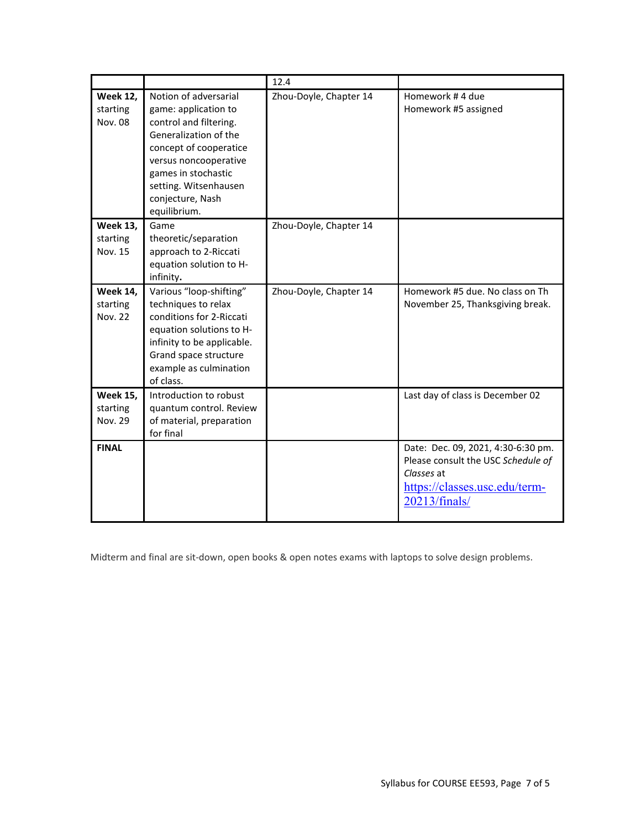|                                               |                                                                                                                                                                                                                                         | 12.4                   |                                                                                                                                          |
|-----------------------------------------------|-----------------------------------------------------------------------------------------------------------------------------------------------------------------------------------------------------------------------------------------|------------------------|------------------------------------------------------------------------------------------------------------------------------------------|
| <b>Week 12,</b><br>starting<br><b>Nov. 08</b> | Notion of adversarial<br>game: application to<br>control and filtering.<br>Generalization of the<br>concept of cooperatice<br>versus noncooperative<br>games in stochastic<br>setting. Witsenhausen<br>conjecture, Nash<br>equilibrium. | Zhou-Doyle, Chapter 14 | Homework #4 due<br>Homework #5 assigned                                                                                                  |
| <b>Week 13,</b><br>starting<br>Nov. 15        | Game<br>theoretic/separation<br>approach to 2-Riccati<br>equation solution to H-<br>infinity.                                                                                                                                           | Zhou-Doyle, Chapter 14 |                                                                                                                                          |
| <b>Week 14,</b><br>starting<br><b>Nov. 22</b> | Various "loop-shifting"<br>techniques to relax<br>conditions for 2-Riccati<br>equation solutions to H-<br>infinity to be applicable.<br>Grand space structure<br>example as culmination<br>of class.                                    | Zhou-Doyle, Chapter 14 | Homework #5 due. No class on Th<br>November 25, Thanksgiving break.                                                                      |
| <b>Week 15,</b><br>starting<br>Nov. 29        | Introduction to robust<br>quantum control. Review<br>of material, preparation<br>for final                                                                                                                                              |                        | Last day of class is December 02                                                                                                         |
| <b>FINAL</b>                                  |                                                                                                                                                                                                                                         |                        | Date: Dec. 09, 2021, 4:30-6:30 pm.<br>Please consult the USC Schedule of<br>Classes at<br>https://classes.usc.edu/term-<br>20213/finals/ |

Midterm and final are sit-down, open books & open notes exams with laptops to solve design problems.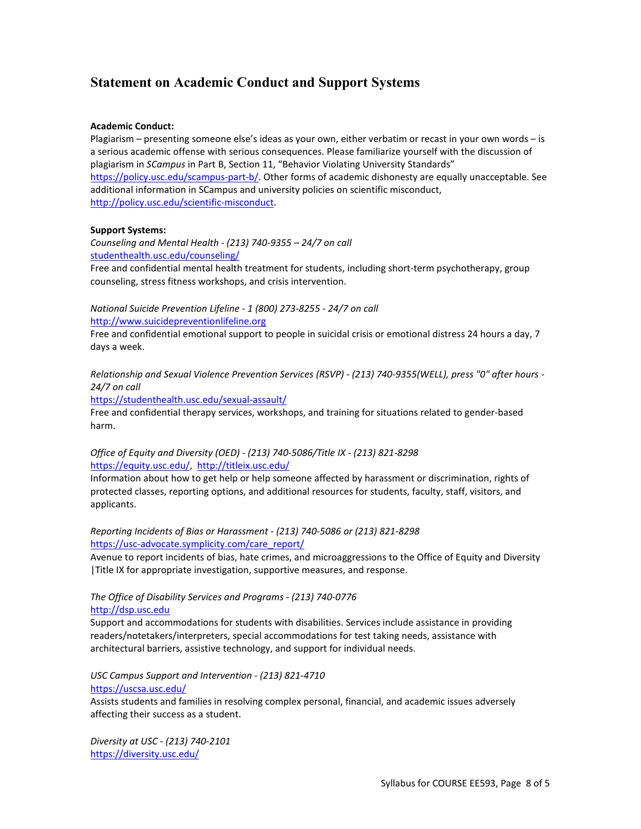# **Statement on Academic Conduct and Support Systems**

#### **Academic Conduct:**

Plagiarism – presenting someone else's ideas as your own, either verbatim or recast in your own words – is a serious academic offense with serious consequences. Please familiarize yourself with the discussion of plagiarism in *SCampus* in Part B, Section 11, "Behavior Violating University Standards" [https://policy.usc.edu/scampus-part-b/.](https://policy.usc.edu/scampus-part-b/) Other forms of academic dishonesty are equally unacceptable. See additional information in SCampus and university policies on scientific misconduct, [http://policy.usc.edu/scientific-misconduct.](http://policy.usc.edu/scientific-misconduct)

#### **Support Systems:**

*Counseling and Mental Health - (213) 740-9355 – 24/7 on call* [studenthealth.usc.edu/counseling/](https://studenthealth.usc.edu/counseling/)

Free and confidential mental health treatment for students, including short-term psychotherapy, group counseling, stress fitness workshops, and crisis intervention.

*National Suicide Prevention Lifeline - 1 (800) 273-8255 - 24/7 on call* [http://www.suicidepreventionlifeline.org](http://www.suicidepreventionlifeline.org/)

Free and confidential emotional support to people in suicidal crisis or emotional distress 24 hours a day, 7 days a week.

*Relationship and Sexual Violence Prevention Services (RSVP) - (213) 740-9355(WELL), press "0" after hours - 24/7 on call*

<https://studenthealth.usc.edu/sexual-assault/>

Free and confidential therapy services, workshops, and training for situations related to gender-based harm.

#### *Office of Equity and Diversity (OED) - (213) 740-5086/Title IX - (213) 821-8298* [https://equity.usc.edu/,](https://equity.usc.edu/) <http://titleix.usc.edu/>

Information about how to get help or help someone affected by harassment or discrimination, rights of protected classes, reporting options, and additional resources for students, faculty, staff, visitors, and applicants.

*Reporting Incidents of Bias or Harassment - (213) 740-5086 or (213) 821-8298* [https://usc-advocate.symplicity.com/care\\_report/](https://usc-advocate.symplicity.com/care_report/)

Avenue to report incidents of bias, hate crimes, and microaggressions to the Office of Equity and Diversity |Title IX for appropriate investigation, supportive measures, and response.

#### *The Office of Disability Services and Programs - (213) 740-0776* [http://dsp.usc.edu](http://dsp.usc.edu/)

Support and accommodations for students with disabilities. Services include assistance in providing readers/notetakers/interpreters, special accommodations for test taking needs, assistance with architectural barriers, assistive technology, and support for individual needs.

*USC Campus Support and Intervention - (213) 821-4710* <https://uscsa.usc.edu/>

Assists students and families in resolving complex personal, financial, and academic issues adversely affecting their success as a student.

*Diversity at USC - (213) 740-2101* <https://diversity.usc.edu/>